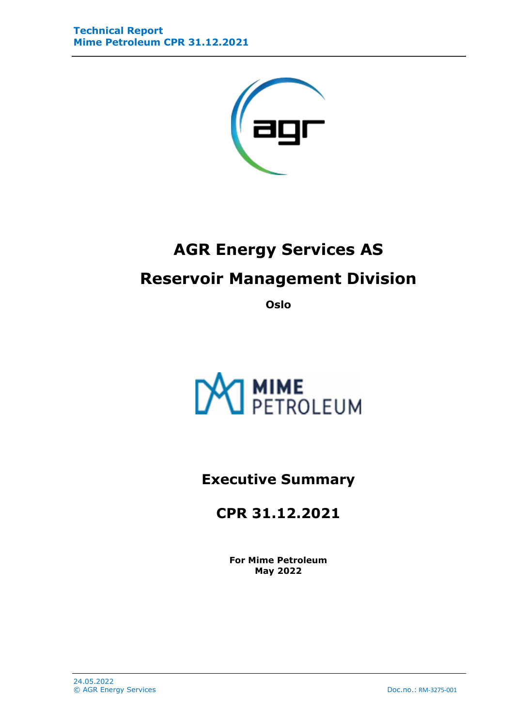

# **AGR Energy Services AS Reservoir Management Division**

**Oslo**



**Executive Summary**

**CPR 31.12.2021**

**For Mime Petroleum May 2022**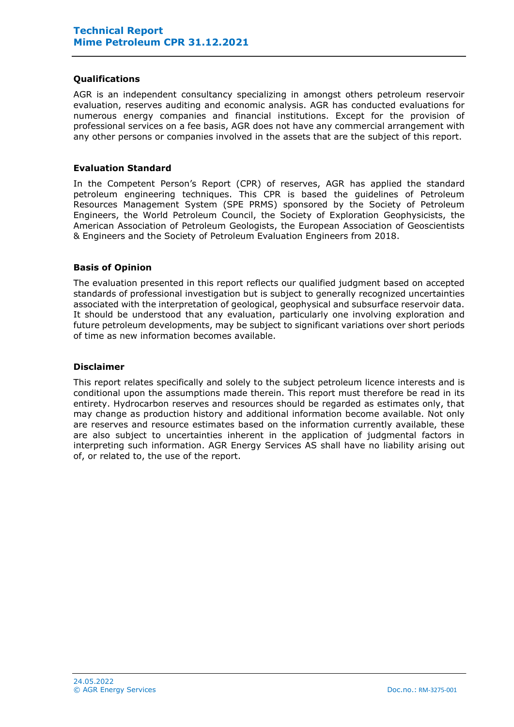## **Qualifications**

AGR is an independent consultancy specializing in amongst others petroleum reservoir evaluation, reserves auditing and economic analysis. AGR has conducted evaluations for numerous energy companies and financial institutions. Except for the provision of professional services on a fee basis, AGR does not have any commercial arrangement with any other persons or companies involved in the assets that are the subject of this report.

#### **Evaluation Standard**

In the Competent Person's Report (CPR) of reserves, AGR has applied the standard petroleum engineering techniques. This CPR is based the guidelines of Petroleum Resources Management System (SPE PRMS) sponsored by the Society of Petroleum Engineers, the World Petroleum Council, the Society of Exploration Geophysicists, the American Association of Petroleum Geologists, the European Association of Geoscientists & Engineers and the Society of Petroleum Evaluation Engineers from 2018.

## **Basis of Opinion**

The evaluation presented in this report reflects our qualified judgment based on accepted standards of professional investigation but is subject to generally recognized uncertainties associated with the interpretation of geological, geophysical and subsurface reservoir data. It should be understood that any evaluation, particularly one involving exploration and future petroleum developments, may be subject to significant variations over short periods of time as new information becomes available.

#### **Disclaimer**

This report relates specifically and solely to the subject petroleum licence interests and is conditional upon the assumptions made therein. This report must therefore be read in its entirety. Hydrocarbon reserves and resources should be regarded as estimates only, that may change as production history and additional information become available. Not only are reserves and resource estimates based on the information currently available, these are also subject to uncertainties inherent in the application of judgmental factors in interpreting such information. AGR Energy Services AS shall have no liability arising out of, or related to, the use of the report.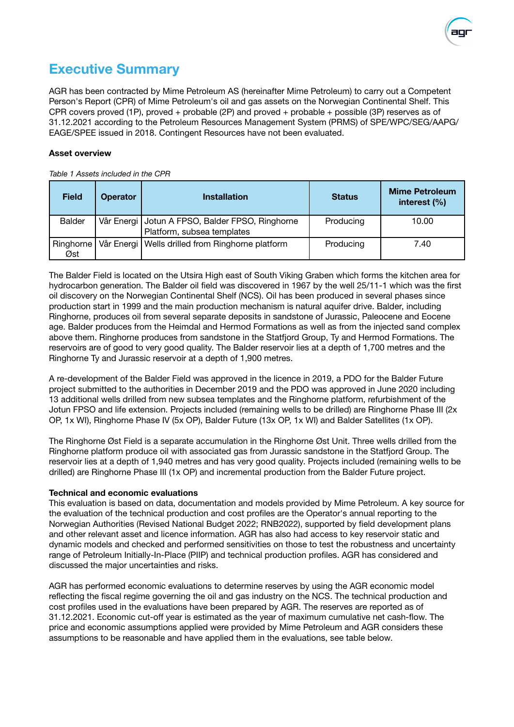

# **Executive Summary**

AGR has been contracted by Mime Petroleum AS (hereinafter Mime Petroleum) to carry out a Competent Person's Report (CPR) of Mime Petroleum's oil and gas assets on the Norwegian Continental Shelf. This CPR covers proved (1P), proved + probable (2P) and proved + probable + possible (3P) reserves as of 31.12.2021 according to the Petroleum Resources Management System (PRMS) of SPE/WPC/SEG/AAPG/ EAGE/SPEE issued in 2018. Contingent Resources have not been evaluated.

#### **Asset overview**

*Table 1 Assets included in the CPR*

| <b>Field</b>  | <b>Operator</b> | <b>Installation</b>                                                             | <b>Status</b> | <b>Mime Petroleum</b><br>interest (%) |
|---------------|-----------------|---------------------------------------------------------------------------------|---------------|---------------------------------------|
| <b>Balder</b> |                 | Vår Energi   Jotun A FPSO, Balder FPSO, Ringhorne<br>Platform, subsea templates | Producing     | 10.00                                 |
|               |                 |                                                                                 |               |                                       |
| Ringhorne     |                 | Vår Energi   Wells drilled from Ringhorne platform                              | Producing     | 7.40                                  |
| Øst           |                 |                                                                                 |               |                                       |

The Balder Field is located on the Utsira High east of South Viking Graben which forms the kitchen area for hydrocarbon generation. The Balder oil field was discovered in 1967 by the well 25/11-1 which was the first oil discovery on the Norwegian Continental Shelf (NCS). Oil has been produced in several phases since production start in 1999 and the main production mechanism is natural aquifer drive. Balder, including Ringhorne, produces oil from several separate deposits in sandstone of Jurassic, Paleocene and Eocene age. Balder produces from the Heimdal and Hermod Formations as well as from the injected sand complex above them. Ringhorne produces from sandstone in the Statfjord Group, Ty and Hermod Formations. The reservoirs are of good to very good quality. The Balder reservoir lies at a depth of 1,700 metres and the Ringhorne Ty and Jurassic reservoir at a depth of 1,900 metres.

A re-development of the Balder Field was approved in the licence in 2019, a PDO for the Balder Future project submitted to the authorities in December 2019 and the PDO was approved in June 2020 including 13 additional wells drilled from new subsea templates and the Ringhorne platform, refurbishment of the Jotun FPSO and life extension. Projects included (remaining wells to be drilled) are Ringhorne Phase III (2x OP, 1x WI), Ringhorne Phase IV (5x OP), Balder Future (13x OP, 1x WI) and Balder Satellites (1x OP).

The Ringhorne Øst Field is a separate accumulation in the Ringhorne Øst Unit. Three wells drilled from the Ringhorne platform produce oil with associated gas from Jurassic sandstone in the Statfjord Group. The reservoir lies at a depth of 1,940 metres and has very good quality. Projects included (remaining wells to be drilled) are Ringhorne Phase III (1x OP) and incremental production from the Balder Future project.

#### **Technical and economic evaluations**

This evaluation is based on data, documentation and models provided by Mime Petroleum. A key source for the evaluation of the technical production and cost profiles are the Operator's annual reporting to the Norwegian Authorities (Revised National Budget 2022; RNB2022), supported by field development plans and other relevant asset and licence information. AGR has also had access to key reservoir static and dynamic models and checked and performed sensitivities on those to test the robustness and uncertainty range of Petroleum Initially-In-Place (PIIP) and technical production profiles. AGR has considered and discussed the major uncertainties and risks.

AGR has performed economic evaluations to determine reserves by using the AGR economic model reflecting the fiscal regime governing the oil and gas industry on the NCS. The technical production and cost profiles used in the evaluations have been prepared by AGR. The reserves are reported as of 31.12.2021. Economic cut-off year is estimated as the year of maximum cumulative net cash-flow. The price and economic assumptions applied were provided by Mime Petroleum and AGR considers these assumptions to be reasonable and have applied them in the evaluations, see table below.